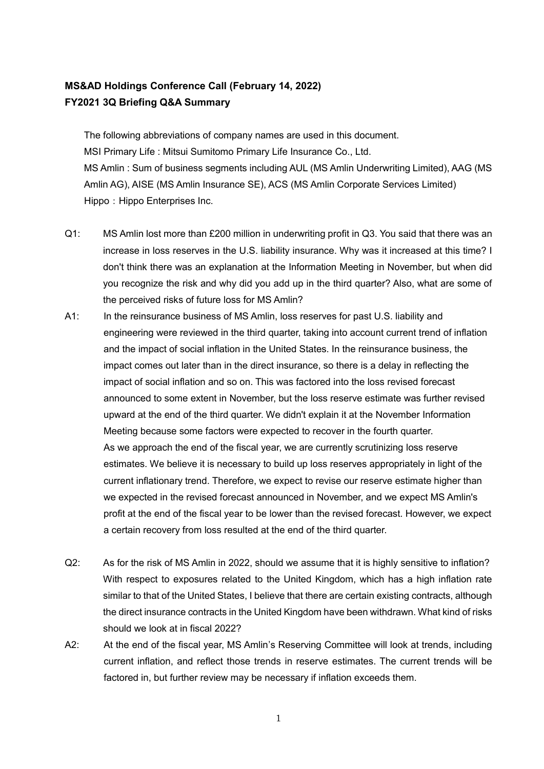## **MS&AD Holdings Conference Call (February 14, 2022) FY2021 3Q Briefing Q&A Summary**

The following abbreviations of company names are used in this document. MSI Primary Life : Mitsui Sumitomo Primary Life Insurance Co., Ltd. MS Amlin : Sum of business segments including AUL (MS Amlin Underwriting Limited), AAG (MS Amlin AG), AISE (MS Amlin Insurance SE), ACS (MS Amlin Corporate Services Limited) Hippo: Hippo Enterprises Inc.

- Q1: MS Amlin lost more than £200 million in underwriting profit in Q3. You said that there was an increase in loss reserves in the U.S. liability insurance. Why was it increased at this time? I don't think there was an explanation at the Information Meeting in November, but when did you recognize the risk and why did you add up in the third quarter? Also, what are some of the perceived risks of future loss for MS Amlin?
- A1: In the reinsurance business of MS Amlin, loss reserves for past U.S. liability and engineering were reviewed in the third quarter, taking into account current trend of inflation and the impact of social inflation in the United States. In the reinsurance business, the impact comes out later than in the direct insurance, so there is a delay in reflecting the impact of social inflation and so on. This was factored into the loss revised forecast announced to some extent in November, but the loss reserve estimate was further revised upward at the end of the third quarter. We didn't explain it at the November Information Meeting because some factors were expected to recover in the fourth quarter. As we approach the end of the fiscal year, we are currently scrutinizing loss reserve estimates. We believe it is necessary to build up loss reserves appropriately in light of the current inflationary trend. Therefore, we expect to revise our reserve estimate higher than we expected in the revised forecast announced in November, and we expect MS Amlin's profit at the end of the fiscal year to be lower than the revised forecast. However, we expect a certain recovery from loss resulted at the end of the third quarter.
- Q2: As for the risk of MS Amlin in 2022, should we assume that it is highly sensitive to inflation? With respect to exposures related to the United Kingdom, which has a high inflation rate similar to that of the United States, I believe that there are certain existing contracts, although the direct insurance contracts in the United Kingdom have been withdrawn. What kind of risks should we look at in fiscal 2022?
- A2: At the end of the fiscal year, MS Amlin's Reserving Committee will look at trends, including current inflation, and reflect those trends in reserve estimates. The current trends will be factored in, but further review may be necessary if inflation exceeds them.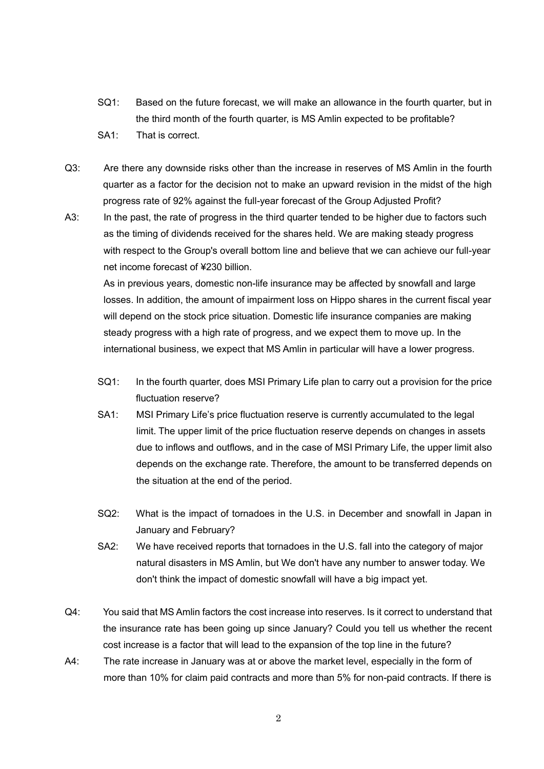- SQ1: Based on the future forecast, we will make an allowance in the fourth quarter, but in the third month of the fourth quarter, is MS Amlin expected to be profitable?
- SA1: That is correct.
- Q3: Are there any downside risks other than the increase in reserves of MS Amlin in the fourth quarter as a factor for the decision not to make an upward revision in the midst of the high progress rate of 92% against the full-year forecast of the Group Adjusted Profit?
- A3: In the past, the rate of progress in the third quarter tended to be higher due to factors such as the timing of dividends received for the shares held. We are making steady progress with respect to the Group's overall bottom line and believe that we can achieve our full-year net income forecast of ¥230 billion.

As in previous years, domestic non-life insurance may be affected by snowfall and large losses. In addition, the amount of impairment loss on Hippo shares in the current fiscal year will depend on the stock price situation. Domestic life insurance companies are making steady progress with a high rate of progress, and we expect them to move up. In the international business, we expect that MS Amlin in particular will have a lower progress.

- SQ1: In the fourth quarter, does MSI Primary Life plan to carry out a provision for the price fluctuation reserve?
- SA1: MSI Primary Life's price fluctuation reserve is currently accumulated to the legal limit. The upper limit of the price fluctuation reserve depends on changes in assets due to inflows and outflows, and in the case of MSI Primary Life, the upper limit also depends on the exchange rate. Therefore, the amount to be transferred depends on the situation at the end of the period.
- SQ2: What is the impact of tornadoes in the U.S. in December and snowfall in Japan in January and February?
- SA2: We have received reports that tornadoes in the U.S. fall into the category of major natural disasters in MS Amlin, but We don't have any number to answer today. We don't think the impact of domestic snowfall will have a big impact yet.
- Q4: You said that MS Amlin factors the cost increase into reserves. Is it correct to understand that the insurance rate has been going up since January? Could you tell us whether the recent cost increase is a factor that will lead to the expansion of the top line in the future?
- A4: The rate increase in January was at or above the market level, especially in the form of more than 10% for claim paid contracts and more than 5% for non-paid contracts. If there is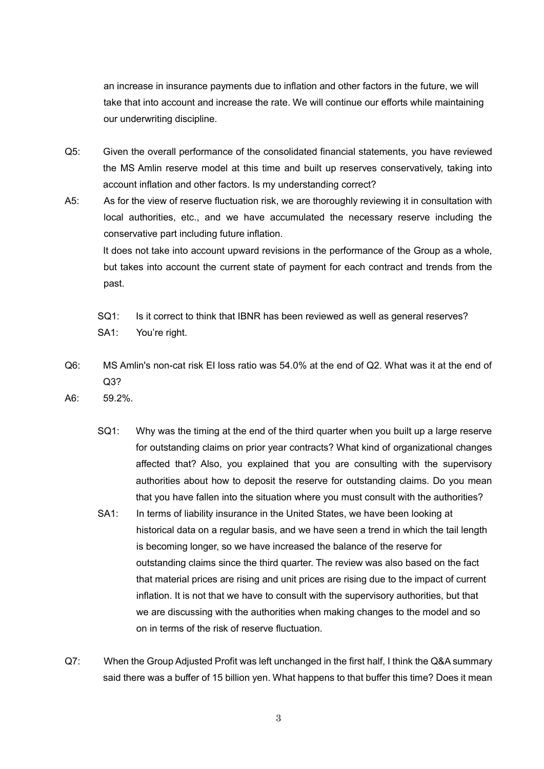an increase in insurance payments due to inflation and other factors in the future, we will take that into account and increase the rate. We will continue our efforts while maintaining our underwriting discipline.

- Q5: Given the overall performance of the consolidated financial statements, you have reviewed the MS Amlin reserve model at this time and built up reserves conservatively, taking into account inflation and other factors. Is my understanding correct?
- A5: As for the view of reserve fluctuation risk, we are thoroughly reviewing it in consultation with local authorities, etc., and we have accumulated the necessary reserve including the conservative part including future inflation. It does not take into account upward revisions in the performance of the Group as a whole,

but takes into account the current state of payment for each contract and trends from the past.

- SQ1: Is it correct to think that IBNR has been reviewed as well as general reserves?
- SA1: You're right.
- Q6: MS Amlin's non-cat risk EI loss ratio was 54.0% at the end of Q2. What was it at the end of Q3?
- A6: 59.2%.
	- SQ1: Why was the timing at the end of the third quarter when you built up a large reserve for outstanding claims on prior year contracts? What kind of organizational changes affected that? Also, you explained that you are consulting with the supervisory authorities about how to deposit the reserve for outstanding claims. Do you mean that you have fallen into the situation where you must consult with the authorities?
	- SA1: In terms of liability insurance in the United States, we have been looking at historical data on a regular basis, and we have seen a trend in which the tail length is becoming longer, so we have increased the balance of the reserve for outstanding claims since the third quarter. The review was also based on the fact that material prices are rising and unit prices are rising due to the impact of current inflation. It is not that we have to consult with the supervisory authorities, but that we are discussing with the authorities when making changes to the model and so on in terms of the risk of reserve fluctuation.
- Q7: When the Group Adjusted Profit was left unchanged in the first half, I think the Q&A summary said there was a buffer of 15 billion yen. What happens to that buffer this time? Does it mean